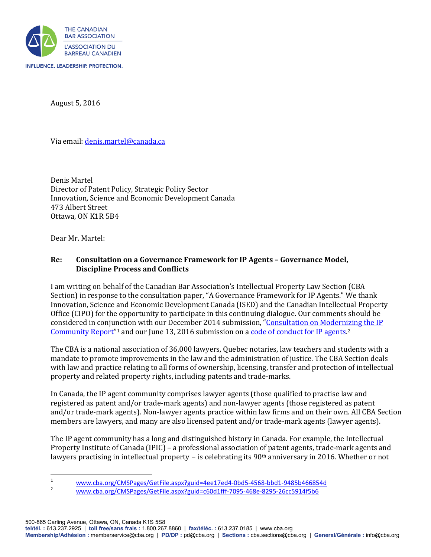

August 5, 2016

Via email: [denis.martel@canada.ca](mailto:denis.martel@canada.ca) 

Denis Martel Director of Patent Policy, Strategic Policy Sector Innovation, Science and Economic Development Canada 473 Albert Street Ottawa, ON K1R 5B4

Dear Mr. Martel:

# **Re: Consultation on a Governance Framework for IP Agents – Governance Model, Discipline Process and Conflicts**

I am writing on behalf of the Canadian Bar Association's Intellectual Property Law Section (CBA Section) in response to the consultation paper, "A Governance Framework for IP Agents." We thank Innovation, Science and Economic Development Canada (ISED) and the Canadian Intellectual Property Office (CIPO) for the opportunity to participate in this continuing dialogue. Our comments should be considered in conjunction with our December 2014 submission, ["Consultation on Modernizing the IP](http://www.cba.org/CMSPages/GetFile.aspx?guid=4ee17ed4-0bd5-4568-bbd1-9485b466854d)  Community Report<sup>"[1](#page-0-0)</sup> and our June 13, 2016 submission on [a code of conduct for IP agents.](http://www.cba.org/CMSPages/GetFile.aspx?guid=c60d1fff-7095-468e-8295-26cc5914f5b6)<sup>[2](#page-0-1)</sup>

The CBA is a national association of 36,000 lawyers, Quebec notaries, law teachers and students with a mandate to promote improvements in the law and the administration of justice. The CBA Section deals with law and practice relating to all forms of ownership, licensing, transfer and protection of intellectual property and related property rights, including patents and trade-marks.

In Canada, the IP agent community comprises lawyer agents (those qualified to practise law and registered as patent and/or trade-mark agents) and non-lawyer agents (those registered as patent and/or trade-mark agents). Non-lawyer agents practice within law firms and on their own. All CBA Section members are lawyers, and many are also licensed patent and/or trade-mark agents (lawyer agents).

The IP agent community has a long and distinguished history in Canada. For example, the Intellectual Property Institute of Canada (IPIC) – a professional association of patent agents, trade-mark agents and lawyers practising in intellectual property – is celebrating its 90<sup>th</sup> anniversary in 2016. Whether or not

<span id="page-0-0"></span> $\frac{1}{1}$ www.cba.org/CMSPages/GetFile.aspx?guid=4ee17ed4-0bd5-4568-bbd1-9485b466854d

<span id="page-0-1"></span>[www.cba.org/CMSPages/GetFile.aspx?guid=c60d1fff-7095-468e-8295-26cc5914f5b6](http://www.cba.org/CMSPages/GetFile.aspx?guid=c60d1fff-7095-468e-8295-26cc5914f5b6)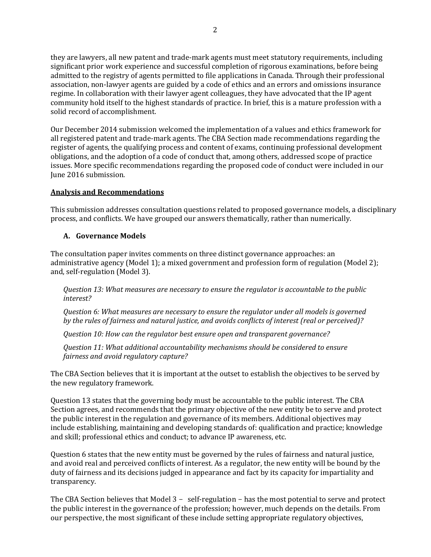they are lawyers, all new patent and trade-mark agents must meet statutory requirements, including significant prior work experience and successful completion of rigorous examinations, before being admitted to the registry of agents permitted to file applications in Canada. Through their professional association, non-lawyer agents are guided by a code of ethics and an errors and omissions insurance regime. In collaboration with their lawyer agent colleagues, they have advocated that the IP agent community hold itself to the highest standards of practice. In brief, this is a mature profession with a solid record of accomplishment.

Our December 2014 submission welcomed the implementation of a values and ethics framework for all registered patent and trade-mark agents. The CBA Section made recommendations regarding the register of agents, the qualifying process and content of exams, continuing professional development obligations, and the adoption of a code of conduct that, among others, addressed scope of practice issues. More specific recommendations regarding the proposed code of conduct were included in our June 2016 submission.

# **Analysis and Recommendations**

This submission addresses consultation questions related to proposed governance models, a disciplinary process, and conflicts. We have grouped our answers thematically, rather than numerically.

# **A. Governance Models**

The consultation paper invites comments on three distinct governance approaches: an administrative agency (Model 1); a mixed government and profession form of regulation (Model 2); and, self-regulation (Model 3).

*Question 13: What measures are necessary to ensure the regulator is accountable to the public interest?* 

*Question 6: What measures are necessary to ensure the regulator under all models is governed by the rules of fairness and natural justice, and avoids conflicts of interest (real or perceived)?*

*Question 10: How can the regulator best ensure open and transparent governance?*

*Question 11: What additional accountability mechanisms should be considered to ensure fairness and avoid regulatory capture?*

The CBA Section believes that it is important at the outset to establish the objectives to be served by the new regulatory framework.

Question 13 states that the governing body must be accountable to the public interest. The CBA Section agrees, and recommends that the primary objective of the new entity be to serve and protect the public interest in the regulation and governance of its members. Additional objectives may include establishing, maintaining and developing standards of: qualification and practice; knowledge and skill; professional ethics and conduct; to advance IP awareness, etc.

Question 6 states that the new entity must be governed by the rules of fairness and natural justice, and avoid real and perceived conflicts of interest. As a regulator, the new entity will be bound by the duty of fairness and its decisions judged in appearance and fact by its capacity for impartiality and transparency.

The CBA Section believes that Model 3 - self-regulation - has the most potential to serve and protect the public interest in the governance of the profession; however, much depends on the details. From our perspective, the most significant of these include setting appropriate regulatory objectives,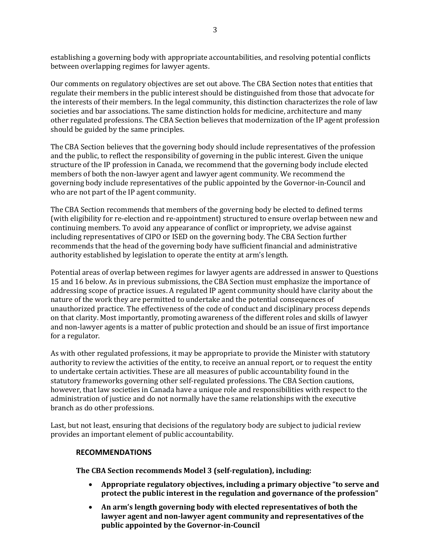establishing a governing body with appropriate accountabilities, and resolving potential conflicts between overlapping regimes for lawyer agents.

Our comments on regulatory objectives are set out above. The CBA Section notes that entities that regulate their members in the public interest should be distinguished from those that advocate for the interests of their members. In the legal community, this distinction characterizes the role of law societies and bar associations. The same distinction holds for medicine, architecture and many other regulated professions. The CBA Section believes that modernization of the IP agent profession should be guided by the same principles.

The CBA Section believes that the governing body should include representatives of the profession and the public, to reflect the responsibility of governing in the public interest. Given the unique structure of the IP profession in Canada, we recommend that the governing body include elected members of both the non-lawyer agent and lawyer agent community. We recommend the governing body include representatives of the public appointed by the Governor-in-Council and who are not part of the IP agent community.

The CBA Section recommends that members of the governing body be elected to defined terms (with eligibility for re-election and re-appointment) structured to ensure overlap between new and continuing members. To avoid any appearance of conflict or impropriety, we advise against including representatives of CIPO or ISED on the governing body. The CBA Section further recommends that the head of the governing body have sufficient financial and administrative authority established by legislation to operate the entity at arm's length.

Potential areas of overlap between regimes for lawyer agents are addressed in answer to Questions 15 and 16 below. As in previous submissions, the CBA Section must emphasize the importance of addressing scope of practice issues. A regulated IP agent community should have clarity about the nature of the work they are permitted to undertake and the potential consequences of unauthorized practice. The effectiveness of the code of conduct and disciplinary process depends on that clarity. Most importantly, promoting awareness of the different roles and skills of lawyer and non-lawyer agents is a matter of public protection and should be an issue of first importance for a regulator.

As with other regulated professions, it may be appropriate to provide the Minister with statutory authority to review the activities of the entity, to receive an annual report, or to request the entity to undertake certain activities. These are all measures of public accountability found in the statutory frameworks governing other self-regulated professions. The CBA Section cautions, however, that law societies in Canada have a unique role and responsibilities with respect to the administration of justice and do not normally have the same relationships with the executive branch as do other professions.

Last, but not least, ensuring that decisions of the regulatory body are subject to judicial review provides an important element of public accountability.

## **RECOMMENDATIONS**

**The CBA Section recommends Model 3 (self-regulation), including:**

- **Appropriate regulatory objectives, including a primary objective "to serve and protect the public interest in the regulation and governance of the profession"**
- **An arm's length governing body with elected representatives of both the lawyer agent and non-lawyer agent community and representatives of the public appointed by the Governor-in-Council**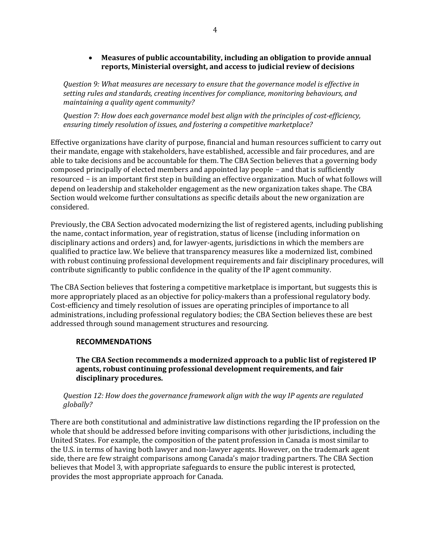# • **Measures of public accountability, including an obligation to provide annual reports, Ministerial oversight, and access to judicial review of decisions**

*Question 9: What measures are necessary to ensure that the governance model is effective in setting rules and standards, creating incentives for compliance, monitoring behaviours, and maintaining a quality agent community?*

*Question 7: How does each governance model best align with the principles of cost-efficiency, ensuring timely resolution of issues, and fostering a competitive marketplace?*

Effective organizations have clarity of purpose, financial and human resources sufficient to carry out their mandate, engage with stakeholders, have established, accessible and fair procedures, and are able to take decisions and be accountable for them. The CBA Section believes that a governing body composed principally of elected members and appointed lay people - and that is sufficiently resourced - is an important first step in building an effective organization. Much of what follows will depend on leadership and stakeholder engagement as the new organization takes shape. The CBA Section would welcome further consultations as specific details about the new organization are considered.

Previously, the CBA Section advocated modernizing the list of registered agents, including publishing the name, contact information, year of registration, status of license (including information on disciplinary actions and orders) and, for lawyer-agents, jurisdictions in which the members are qualified to practice law. We believe that transparency measures like a modernized list, combined with robust continuing professional development requirements and fair disciplinary procedures, will contribute significantly to public confidence in the quality of the IP agent community.

The CBA Section believes that fostering a competitive marketplace is important, but suggests this is more appropriately placed as an objective for policy-makers than a professional regulatory body. Cost-efficiency and timely resolution of issues are operating principles of importance to all administrations, including professional regulatory bodies; the CBA Section believes these are best addressed through sound management structures and resourcing.

# **RECOMMENDATIONS**

**The CBA Section recommends a modernized approach to a public list of registered IP agents, robust continuing professional development requirements, and fair disciplinary procedures.**

# *Question 12: How does the governance framework align with the way IP agents are regulated globally?*

There are both constitutional and administrative law distinctions regarding the IP profession on the whole that should be addressed before inviting comparisons with other jurisdictions, including the United States. For example, the composition of the patent profession in Canada is most similar to the U.S. in terms of having both lawyer and non-lawyer agents. However, on the trademark agent side, there are few straight comparisons among Canada's major trading partners. The CBA Section believes that Model 3, with appropriate safeguards to ensure the public interest is protected, provides the most appropriate approach for Canada.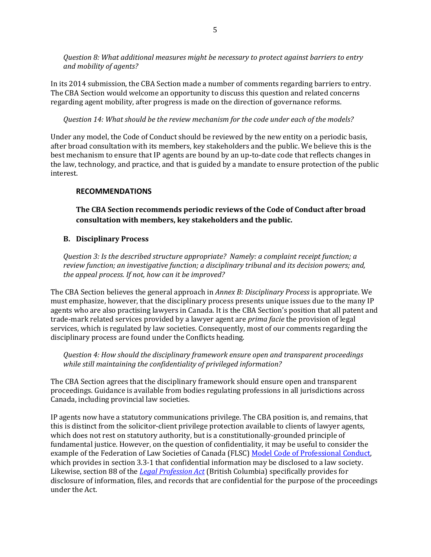*Question 8: What additional measures might be necessary to protect against barriers to entry and mobility of agents?*

In its 2014 submission, the CBA Section made a number of comments regarding barriers to entry. The CBA Section would welcome an opportunity to discuss this question and related concerns regarding agent mobility, after progress is made on the direction of governance reforms.

*Question 14: What should be the review mechanism for the code under each of the models?*

Under any model, the Code of Conduct should be reviewed by the new entity on a periodic basis, after broad consultation with its members, key stakeholders and the public. We believe this is the best mechanism to ensure that IP agents are bound by an up-to-date code that reflects changes in the law, technology, and practice, and that is guided by a mandate to ensure protection of the public interest.

# **RECOMMENDATIONS**

**The CBA Section recommends periodic reviews of the Code of Conduct after broad consultation with members, key stakeholders and the public.**

# **B. Disciplinary Process**

*Question 3: Is the described structure appropriate? Namely: a complaint receipt function; a review function; an investigative function; a disciplinary tribunal and its decision powers; and, the appeal process. If not, how can it be improved?*

The CBA Section believes the general approach in *Annex B: Disciplinary Process* is appropriate. We must emphasize, however, that the disciplinary process presents unique issues due to the many IP agents who are also practising lawyers in Canada. It is the CBA Section's position that all patent and trade-mark related services provided by a lawyer agent are *prima facie* the provision of legal services, which is regulated by law societies. Consequently, most of our comments regarding the disciplinary process are found under the Conflicts heading.

*Question 4: How should the disciplinary framework ensure open and transparent proceedings while still maintaining the confidentiality of privileged information?*

The CBA Section agrees that the disciplinary framework should ensure open and transparent proceedings. Guidance is available from bodies regulating professions in all jurisdictions across Canada, including provincial law societies.

IP agents now have a statutory communications privilege. The CBA position is, and remains, that this is distinct from the solicitor-client privilege protection available to clients of lawyer agents, which does not rest on statutory authority, but is a constitutionally-grounded principle of fundamental justice. However, on the question of confidentiality, it may be useful to consider the example of the Federation of Law Societies of Canada (FLSC[\) Model Code of Professional Conduct,](http://docs.flsc.ca/ModelCode10March2016FIN.pdf)  which provides in section 3.3-1 that confidential information may be disclosed to a law society. Likewise, section 88 of the *[Legal Profession Act](http://www.canlii.org/en/bc/laws/stat/sbc-1998-c-9/latest/sbc-1998-c-9.html)* (British Columbia) specifically provides for disclosure of information, files, and records that are confidential for the purpose of the proceedings under the Act.